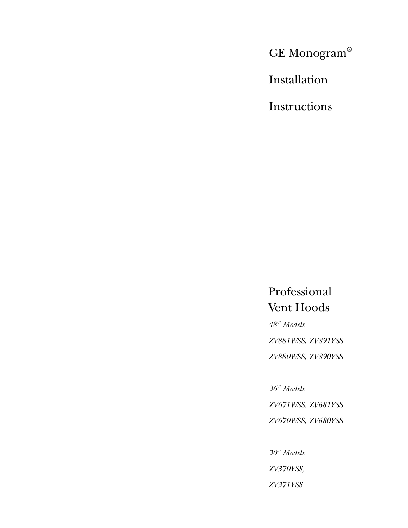GE Monogram®

Installation

Instructions

Professional Vent Hoods

*48" Models ZV881WSS, ZV891YSS ZV880WSS, ZV890YSS*

*36" Models*

*ZV671WSS, ZV681YSS*

*ZV670WSS, ZV680YSS*

*30" Models ZV370YSS, ZV371YSS*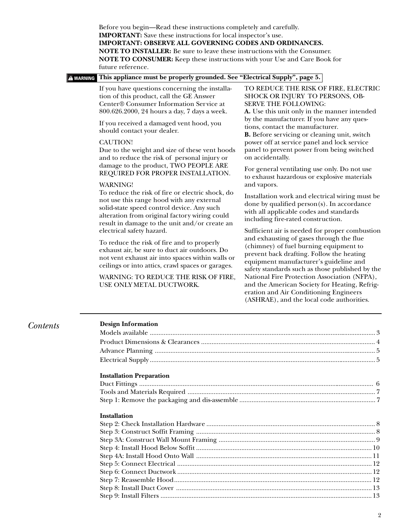| <b>A WARNING</b> | This appliance must be properly grounded. See "Electrical Supply", page 5.                                                                                                                                                                                                                                                                                                                                                                                                                                                                                                                                                                                                                                                                                                                                                                                                                                                                                                                                                                       |                                                                                                                                                                                                                                                                                                                                                                                                                                                                                                                                                                                                                                                                                                                                                                                                                                                                                                                                                                                                                                                                                                                                                                                     |
|------------------|--------------------------------------------------------------------------------------------------------------------------------------------------------------------------------------------------------------------------------------------------------------------------------------------------------------------------------------------------------------------------------------------------------------------------------------------------------------------------------------------------------------------------------------------------------------------------------------------------------------------------------------------------------------------------------------------------------------------------------------------------------------------------------------------------------------------------------------------------------------------------------------------------------------------------------------------------------------------------------------------------------------------------------------------------|-------------------------------------------------------------------------------------------------------------------------------------------------------------------------------------------------------------------------------------------------------------------------------------------------------------------------------------------------------------------------------------------------------------------------------------------------------------------------------------------------------------------------------------------------------------------------------------------------------------------------------------------------------------------------------------------------------------------------------------------------------------------------------------------------------------------------------------------------------------------------------------------------------------------------------------------------------------------------------------------------------------------------------------------------------------------------------------------------------------------------------------------------------------------------------------|
|                  | If you have questions concerning the installa-<br>tion of this product, call the GE Answer<br>Center® Consumer Information Service at<br>800.626.2000, 24 hours a day, 7 days a week.<br>If you received a damaged vent hood, you<br>should contact your dealer.<br><b>CAUTION!</b><br>Due to the weight and size of these vent hoods<br>and to reduce the risk of personal injury or<br>damage to the product, TWO PEOPLE ARE<br>REQUIRED FOR PROPER INSTALLATION.<br><b>WARNING!</b><br>To reduce the risk of fire or electric shock, do<br>not use this range hood with any external<br>solid-state speed control device. Any such<br>alteration from original factory wiring could<br>result in damage to the unit and/or create an<br>electrical safety hazard.<br>To reduce the risk of fire and to properly<br>exhaust air, be sure to duct air outdoors. Do<br>not vent exhaust air into spaces within walls or<br>ceilings or into attics, crawl spaces or garages.<br>WARNING: TO REDUCE THE RISK OF FIRE,<br>USE ONLY METAL DUCTWORK. | TO REDUCE THE RISK OF FIRE, ELECTRIC<br>SHOCK OR INJURY TO PERSONS, OB-<br><b>SERVE THE FOLLOWING:</b><br>A. Use this unit only in the manner intended<br>by the manufacturer. If you have any ques-<br>tions, contact the manufacturer.<br>B. Before servicing or cleaning unit, switch<br>power off at service panel and lock service<br>panel to prevent power from being switched<br>on accidentally.<br>For general ventilating use only. Do not use<br>to exhaust hazardous or explosive materials<br>and vapors.<br>Installation work and electrical wiring must be<br>done by qualified person(s). In accordance<br>with all applicable codes and standards<br>including fire-rated construction.<br>Sufficient air is needed for proper combustion<br>and exhausting of gases through the flue<br>(chimney) of fuel burning equipment to<br>prevent back drafting. Follow the heating<br>equipment manufacturer's guideline and<br>safety standards such as those published by the<br>National Fire Protection Association (NFPA),<br>and the American Society for Heating, Refrig-<br>eration and Air Conditioning Engineers<br>(ASHRAE), and the local code authorities. |
|                  |                                                                                                                                                                                                                                                                                                                                                                                                                                                                                                                                                                                                                                                                                                                                                                                                                                                                                                                                                                                                                                                  |                                                                                                                                                                                                                                                                                                                                                                                                                                                                                                                                                                                                                                                                                                                                                                                                                                                                                                                                                                                                                                                                                                                                                                                     |

#### **Installation Preparation**

| $\frac{1}{2}$ |  |
|---------------|--|
|               |  |
|               |  |
|               |  |
|               |  |

Electrical Supply .................................................................................................................................. 5

## **Installation**

 $Contents$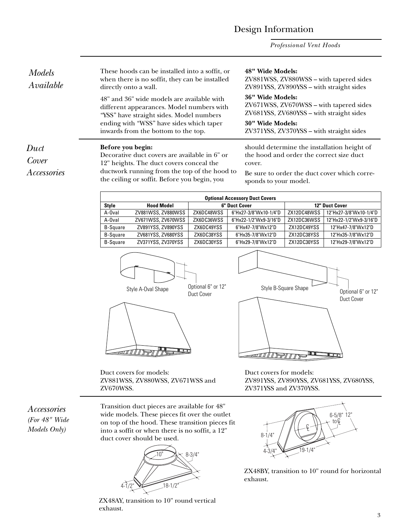## Design Information

*Professional Vent Hoods*

These hoods can be installed into a soffit, or when there is no soffit, they can be installed directly onto a wall.

48" and 36" wide models are available with different appearances. Model numbers with "YSS" have straight sides. Model numbers ending with "WSS" have sides which taper inwards from the bottom to the top.

12" heights. The duct covers conceal the ductwork running from the top of the hood to the ceiling or soffit. Before you begin, you

**48" Wide Models:** ZV881WSS, ZV880WSS – with tapered sides ZV891YSS, ZV890YSS – with straight sides

#### **36" Wide Models:**

ZV671WSS, ZV670WSS – with tapered sides ZV681YSS, ZV680YSS – with straight sides

#### **30" Wide Models:**

ZV371YSS, ZV370YSS – with straight sides

should determine the installation height of the hood and order the correct size duct cover.

Be sure to order the duct cover which corresponds to your model.

| <b>Optional Accessory Duct Covers</b> |                    |               |                       |                       |                        |
|---------------------------------------|--------------------|---------------|-----------------------|-----------------------|------------------------|
| <b>Style</b>                          | <b>Hood Model</b>  | 6" Duct Cover |                       | <b>12" Duct Cover</b> |                        |
| A-Oval                                | ZV881WSS, ZV880WSS | ZX6DC48WSS    | 6"Hx27-3/8"Wx10-1/4"D | ZX12DC48WSS           | 12"Hx27-3/8"Wx10-1/4"D |
| A-Oval                                | ZV671WSS, ZV670WSS | ZX6DC36WSS    | 6"Hx22-1/2"Wx9-3/16"D | ZX12DC36WSS           | 12"Hx22-1/2"Wx9-3/16"D |
| <b>B-Square</b>                       | ZV891YSS, ZV890YSS | ZX6DC49YSS    | 6"Hx47-7/8"Wx12"D     | ZX12DC49YSS           | 12"Hx47-7/8"Wx12"D     |
| <b>B-Square</b>                       | ZV681YSS, ZV680YSS | ZX6DC38YSS    | 6"Hx35-7/8"Wx12"D     | ZX12DC38YSS           | 12"Hx35-7/8"Wx12"D     |
| <b>B-Square</b>                       | ZV371YSS, ZV370YSS | ZX6DC30YSS    | 6"Hx29-7/8"Wx12"D     | ZX12DC30YSS           | 12"Hx29-7/8"Wx12"D     |





Style B-Square Shape Style A-Oval Shape Upworld of the Style B-Square Shape of Optional 6" or 12"<br>Duct Cover Duct Cover रता $\pi$ ∏ II T<del>ell</del> II I

Duct covers for models: ZV881WSS, ZV880WSS, ZV671WSS and ZV670WSS.

Duct covers for models: ZV891YSS, ZV890YSS, ZV681YSS, ZV680YSS, ZV371YSS and ZV370YSS.

*Accessories (For 48" Wide Models Only)*

Transition duct pieces are available for 48" wide models. These pieces fit over the outlet on top of the hood. These transition pieces fit into a soffit or when there is no soffit, a 12" duct cover should be used.



ZX48AY, transition to 10" round vertical exhaust.



ZX48BY, transition to 10" round for horizontal exhaust.

*Duct Cover Accessories*

*Models Available*

#### **Before you begin:** Decorative duct covers are available in 6" or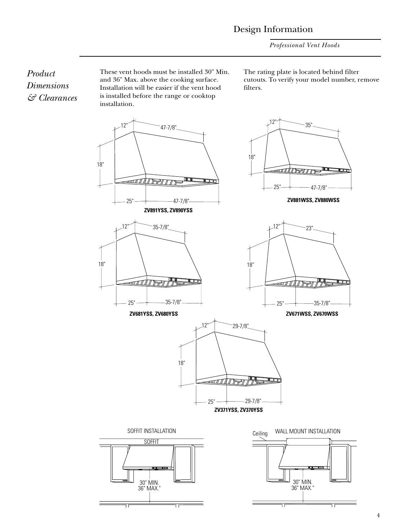*Professional Vent Hoods*

*Product Dimensions & Clearances* These vent hoods must be installed 30" Min. and 36" Max. above the cooking surface. Installation will be easier if the vent hood is installed before the range or cooktop installation.

The rating plate is located behind filter cutouts. To verify your model number, remove filters.

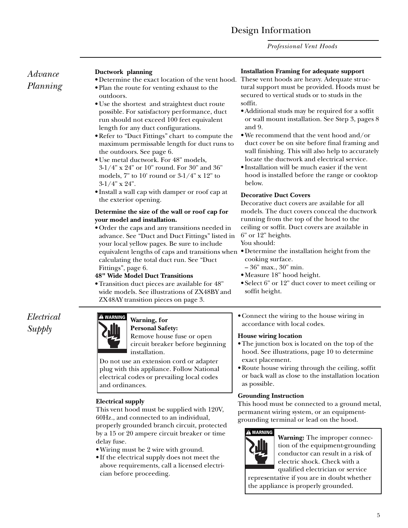## Design Information

*Professional Vent Hoods*

## *Advance Planning*

#### **Ductwork planning**

- Determine the exact location of the vent hood. • Plan the route for venting exhaust to the outdoors.
- Use the shortest and straightest duct route possible. For satisfactory performance, duct run should not exceed 100 feet equivalent length for any duct configurations.
- Refer to "Duct Fittings" chart to compute the maximum permissable length for duct runs to the outdoors. See page 6.
- Use metal ductwork. For 48" models, 3-1/4" x 24" or 10" round. For 30" and 36" models, 7" to 10' round or 3-1/4" x 12" to 3-1/4" x 24".
- Install a wall cap with damper or roof cap at the exterior opening.

#### **Determine the size of the wall or roof cap for your model and installation.**

• Order the caps and any transitions needed in advance. See "Duct and Duct Fittings" listed in your local yellow pages. Be sure to include equivalent lengths of caps and transitions when • Determine the installation height from the calculating the total duct run. See "Duct Fittings", page 6.

#### **48" Wide Model Duct Transitions**

• Transition duct pieces are available for 48" wide models. See illustrations of ZX48BY and ZX48AY transition pieces on page 3.

## *Electrical Supply*

#### Warning, for **WARNING**

## **Personal Safety:**

Remove house fuse or open circuit breaker before beginning installation.

Do not use an extension cord or adapter plug with this appliance. Follow National electrical codes or prevailing local codes and ordinances.

## **Electrical supply**

This vent hood must be supplied with 120V, 60Hz., and connected to an individual, properly grounded branch circuit, protected by a 15 or 20 ampere circuit breaker or time delay fuse.

- Wiring must be 2 wire with ground.
- If the electrical supply does not meet the above requirements, call a licensed electrician before proceeding.

#### **Installation Framing for adequate support**

These vent hoods are heavy. Adequate structural support must be provided. Hoods must be secured to vertical studs or to studs in the soffit.

- Additional studs may be required for a soffit or wall mount installation. See Step 3, pages 8 and 9.
- We recommend that the vent hood and/or duct cover be on site before final framing and wall finishing. This will also help to accurately locate the ductwork and electrical service.
- Installation will be much easier if the vent hood is installed before the range or cooktop below.

## **Decorative Duct Covers**

Decorative duct covers are available for all models. The duct covers conceal the ductwork running from the top of the hood to the ceiling or soffit. Duct covers are available in 6" or 12" heights.

You should:

- cooking surface.
	- 36" max., 30" min.
- Measure 18" hood height.
- Select 6" or 12" duct cover to meet ceiling or soffit height.
- Connect the wiring to the house wiring in accordance with local codes.

## **House wiring location**

- The junction box is located on the top of the hood. See illustrations, page 10 to determine exact placement.
- Route house wiring through the ceiling, soffit or back wall as close to the installation location as possible.

## **Grounding Instruction**

This hood must be connected to a ground metal, permanent wiring system, or an equipmentgrounding terminal or lead on the hood.



**Warning:** The improper connection of the equipment-grounding conductor can result in a risk of electric shock. Check with a qualified electrician or service

representative if you are in doubt whether the appliance is properly grounded.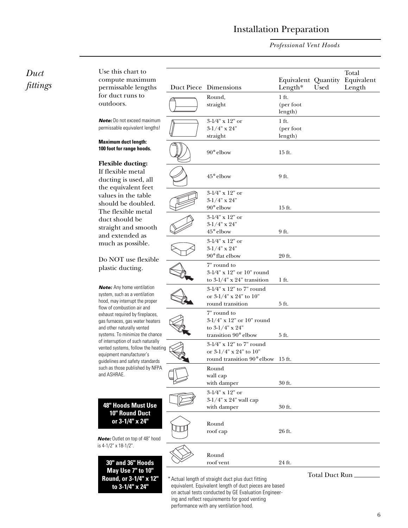## Installation Preparation

*Professional Vent Hoods*

| Duct<br>fittings | Use this chart to<br>compute maximum<br>permissable lengths                                                                                                                                                                                                                                                                                                                                                                                                                                                                                                                                                                                                                        | Duct Piece Dimensions                                                                                                                                                | Equivalent Quantity<br>Length $*$ | Used           | Total<br>Equivalent<br>Length |
|------------------|------------------------------------------------------------------------------------------------------------------------------------------------------------------------------------------------------------------------------------------------------------------------------------------------------------------------------------------------------------------------------------------------------------------------------------------------------------------------------------------------------------------------------------------------------------------------------------------------------------------------------------------------------------------------------------|----------------------------------------------------------------------------------------------------------------------------------------------------------------------|-----------------------------------|----------------|-------------------------------|
|                  | for duct runs to<br>outdoors.                                                                                                                                                                                                                                                                                                                                                                                                                                                                                                                                                                                                                                                      | Round,<br>straight                                                                                                                                                   | $1$ ft.<br>(per foot<br>length)   |                |                               |
|                  | <b>Note:</b> Do not exceed maximum<br>permissable equivalent lengths!                                                                                                                                                                                                                                                                                                                                                                                                                                                                                                                                                                                                              | $3\text{-}1\!\!/4" \ge 12"$ or<br>$3-1/4$ " x 24"<br>straight                                                                                                        | $1$ ft.<br>(per foot<br>length)   |                |                               |
|                  | <b>Maximum duct length:</b><br>100 foot for range hoods.                                                                                                                                                                                                                                                                                                                                                                                                                                                                                                                                                                                                                           | $90^\circ$ elbow                                                                                                                                                     | 15 ft.                            |                |                               |
|                  | <b>Flexible ducting:</b><br>If flexible metal<br>ducting is used, all<br>the equivalent feet<br>values in the table<br>should be doubled.<br>The flexible metal<br>duct should be<br>straight and smooth<br>and extended as<br>much as possible.<br>Do NOT use flexible<br>plastic ducting.                                                                                                                                                                                                                                                                                                                                                                                        | 45° elbow                                                                                                                                                            | 9 ft.                             |                |                               |
|                  |                                                                                                                                                                                                                                                                                                                                                                                                                                                                                                                                                                                                                                                                                    | $3\text{-}1\!\!/4" \ge 12"$ or<br>$3-1/4"$ x 24"<br>$90^\circ$ elbow                                                                                                 | 15 ft.                            |                |                               |
|                  |                                                                                                                                                                                                                                                                                                                                                                                                                                                                                                                                                                                                                                                                                    | $3-1/4"$ x 12" or<br>$3-1/4$ " x 24"<br>45° elbow                                                                                                                    | 9 ft.                             |                |                               |
|                  |                                                                                                                                                                                                                                                                                                                                                                                                                                                                                                                                                                                                                                                                                    | $3-1/4"$ x 12" or<br>$3-1/4$ " x 24"<br>90° flat elbow                                                                                                               | 20 ft.                            |                |                               |
|                  |                                                                                                                                                                                                                                                                                                                                                                                                                                                                                                                                                                                                                                                                                    | 7" round to<br>3-1/4" x 12" or 10" round<br>to $3-1/4$ " x $24$ " transition                                                                                         | 1 ft.                             |                |                               |
|                  | <b>Note:</b> Any home ventilation<br>system, such as a ventilation<br>hood, may interrupt the proper<br>flow of combustion air and<br>exhaust required by fireplaces,<br>gas furnaces, gas water heaters<br>and other naturally vented<br>systems. To minimize the chance<br>of interruption of such naturally<br>vented systems, follow the heating<br>equipment manufacturer's<br>quidelines and safety standards<br>such as those published by NFPA<br>and ASHRAE.<br>48" Hoods Must Use<br>10" Round Duct<br>or 3-1/4" x 24"<br>Note: Outlet on top of 48" hood<br>is 4-1/2" x 18-1/2".<br>30" and 36" Hoods<br>May Use 7" to 10"<br>Round, or 3-1/4" x 12"<br>to 3-1/4" x 24" | 3-1/4" x 12" to 7" round<br>or 3-1/4" x 24" to 10"<br>round transition                                                                                               | 5 ft.                             |                |                               |
|                  |                                                                                                                                                                                                                                                                                                                                                                                                                                                                                                                                                                                                                                                                                    | 7" round to<br>$3-1/4$ " x 12" or 10" round<br>to $3-1/4$ " x $24$ "<br>transition 90° elbow                                                                         | 5 ft.                             |                |                               |
|                  |                                                                                                                                                                                                                                                                                                                                                                                                                                                                                                                                                                                                                                                                                    | 3-1/4" x 12" to 7" round<br>or $3-1/4$ " x $24$ " to $10$ "<br>round transition 90° elbow 15 ft.                                                                     |                                   |                |                               |
|                  |                                                                                                                                                                                                                                                                                                                                                                                                                                                                                                                                                                                                                                                                                    | Round<br>wall cap<br>with damper                                                                                                                                     | 30 ft.                            |                |                               |
|                  |                                                                                                                                                                                                                                                                                                                                                                                                                                                                                                                                                                                                                                                                                    | $3-1/4$ " x 12" or<br>$3-1/4$ " x 24" wall cap<br>with damper                                                                                                        | 30 ft.                            |                |                               |
|                  |                                                                                                                                                                                                                                                                                                                                                                                                                                                                                                                                                                                                                                                                                    | Round<br>roof cap                                                                                                                                                    | 26 ft.                            |                |                               |
|                  |                                                                                                                                                                                                                                                                                                                                                                                                                                                                                                                                                                                                                                                                                    | Round<br>roof vent                                                                                                                                                   | 24 ft.                            |                |                               |
|                  |                                                                                                                                                                                                                                                                                                                                                                                                                                                                                                                                                                                                                                                                                    | * Actual length of straight duct plus duct fitting<br>equivalent. Equivalent length of duct pieces are based<br>on actual tests conducted by GE Evaluation Engineer- |                                   | Total Duct Run |                               |

ing and reflect requirements for good venting performance with any ventilation hood.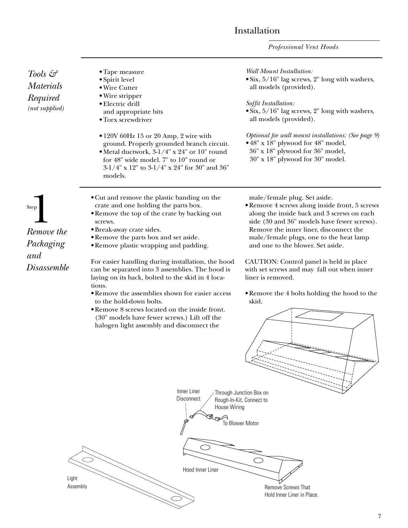*Professional Vent Hoods*

| Tools &<br><b>Materials</b><br>Required<br>(not supplied) | • Tape measure<br>· Spirit level<br>• Wire Cutter<br>• Wire stripper<br>· Electric drill<br>and appropriate bits<br>• Torx screwdriver<br>• 120V 60Hz 15 or 20 Amp, 2 wire with<br>ground. Properly grounded branch circuit.<br>· Metal ductwork, 3-1/4" x 24" or 10" round<br>for 48" wide model. 7" to 10" round or<br>3-1/4" x 12" to 3-1/4" x 24" for 30" and 36"<br>models. | <b>Wall Mount Installation:</b><br>• Six, 5/16" lag screws, 2" long with washers,<br>all models (provided).<br>Soffit Installation:<br>• Six, 5/16" lag screws, 2" long with washers,<br>all models (provided).<br>Optional for wall mount installations: (See page 9)<br>• 48" x 18" plywood for 48" model,<br>36" x 18" plywood for 36" model,<br>30" x 18" plywood for 30" model. |
|-----------------------------------------------------------|----------------------------------------------------------------------------------------------------------------------------------------------------------------------------------------------------------------------------------------------------------------------------------------------------------------------------------------------------------------------------------|--------------------------------------------------------------------------------------------------------------------------------------------------------------------------------------------------------------------------------------------------------------------------------------------------------------------------------------------------------------------------------------|
| <b>Step</b><br>Remove the<br>Packaging                    | • Cut and remove the plastic banding on the<br>crate and one holding the parts box.<br>• Remove the top of the crate by backing out<br>screws.<br>· Break-away crate sides.<br>• Remove the parts box and set aside.<br>• Remove plastic wrapping and padding.                                                                                                                   | male/female plug. Set aside.<br>• Remove 4 screws along inside front, 5 screws<br>along the inside back and 3 screws on each<br>side (30 and 36" models have fewer screws).<br>Remove the inner liner, disconnect the<br>male/female plugs, one to the heat lamp<br>and one to the blower. Set aside.                                                                                |
| and<br><b>Disassemble</b>                                 | For easier handling during installation, the hood<br>can be separated into 3 assemblies. The hood is<br>laying on its back, bolted to the skid in 4 loca-                                                                                                                                                                                                                        | CAUTION: Control panel is held in place<br>with set screws and may fall out when inner<br>liner is removed.                                                                                                                                                                                                                                                                          |
|                                                           | tions.<br>• Remove the assemblies shown for easier access<br>to the hold-down bolts.<br>. Remove 8 screws located on the inside front.<br>(30" models have fewer screws.) Lift off the<br>halogen light assembly and disconnect the                                                                                                                                              | . Remove the 4 bolts holding the hood to the<br>skid.                                                                                                                                                                                                                                                                                                                                |
|                                                           | Inner Liner<br>Disconnect<br>House Wiring                                                                                                                                                                                                                                                                                                                                        | Through Junction Box on<br>Rough-In-Kit, Connect to<br>To Blower Motor                                                                                                                                                                                                                                                                                                               |
|                                                           | Hood Inner Liner<br>Light<br>Assembly                                                                                                                                                                                                                                                                                                                                            | Remove Screws That<br>Hold Inner Liner in Place.                                                                                                                                                                                                                                                                                                                                     |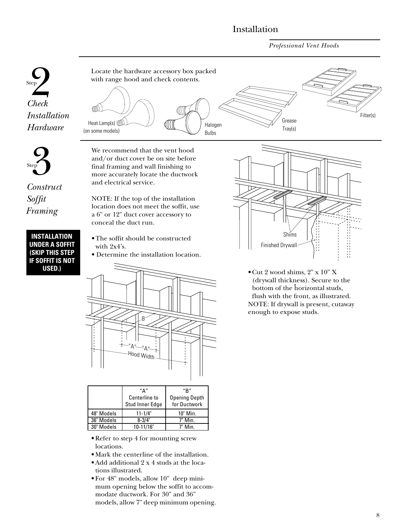*Professional Vent Hoods*



**INSTALLATION UNDER A SOFFIT (SKIP THIS STEP IF SOFFIT IS NOT**

• The soffit should be constructed with 2x4's.

conceal the duct run.

• Determine the installation location.



|            | "∆"<br>Centerline to<br>Stud Inner Edge | "R"<br><b>Opening Depth</b><br>for Ductwork |  |
|------------|-----------------------------------------|---------------------------------------------|--|
| 48" Models | $11 - 1/4"$                             | 10" Min.                                    |  |
| 36" Models | $8 - 3/4"$                              | 7" Min.                                     |  |
| 30" Models | 10-11/16"                               | 7" Min.                                     |  |

- Refer to step 4 for mounting screw locations.
- Mark the centerline of the installation.
- Add additional 2 x 4 studs at the locations illustrated.
- For 48" models, allow 10" deep minimum opening below the soffit to accommodate ductwork. For 30" and 36" models, allow 7" deep minimum opening.



**USED.)** • Cut 2 wood shims, 2" x 10" X (drywall thickness). Secure to the bottom of the horizontal studs, flush with the front, as illustrated. NOTE: If drywall is present, cutaway enough to expose studs.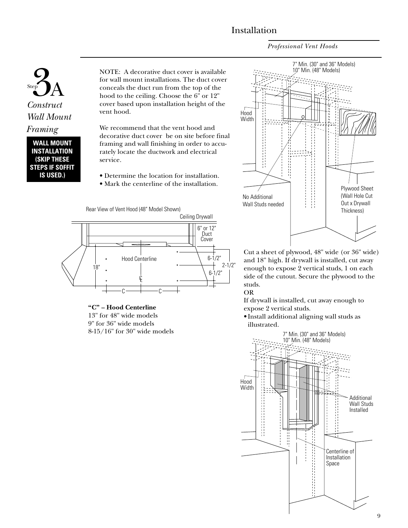*Professional Vent Hoods*



**WALL MOUNT INSTALLATION (SKIP THESE STEPS IF SOFFIT IS USED.)**

NOTE: A decorative duct cover is available for wall mount installations. The duct cover conceals the duct run from the top of the hood to the ceiling. Choose the 6" or 12" cover based upon installation height of the vent hood.

We recommend that the vent hood and decorative duct cover be on site before final framing and wall finishing in order to accurately locate the ductwork and electrical service.

- Determine the location for installation.
- Mark the centerline of the installation.



**"C" – Hood Centerline** 13" for 48" wide models 9" for 36" wide models 8-15/16" for 30" wide models



Cut a sheet of plywood, 48" wide (or 36" wide) and 18" high. If drywall is installed, cut away enough to expose 2 vertical studs, 1 on each side of the cutout. Secure the plywood to the studs.

OR

If drywall is installed, cut away enough to expose 2 vertical studs.

• Install additional aligning wall studs as illustrated.

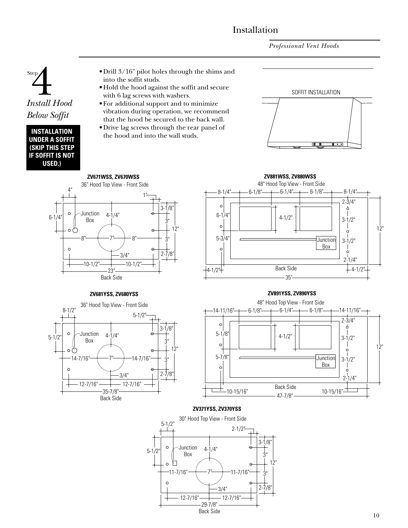*Professional Vent Hoods*



| INSTALLATION           |
|------------------------|
| UNDER A SOFFIT         |
| <b>(SKIP THIS STEP</b> |
| IF SOFFIT IS NOT       |
| USED.)                 |

- Drill 3/16" pilot holes through the shims and into the soffit studs.
- Hold the hood against the soffit and secure with 6 lag screws with washers.
- For additional support and to minimize vibration during operation, we recommend that the hood be secured to the back wall. • Drive lag screws through the rear panel of
- the hood and into the wall studs.







#### **ZV681YSS, ZV680YSS**



## **ZV891YSS, ZV890YSS**



#### **ZV371YSS, ZV370YSS**

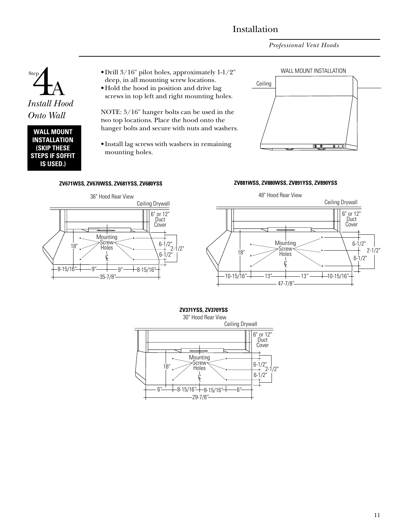*Professional Vent Hoods*



#### **WALL MOUNT INSTALLATION (SKIP THESE STEPS IF SOFFIT IS USED.)**

- Drill 3/16" pilot holes, approximately 1-1/2" deep, in all mounting screw locations.
- Hold the hood in position and drive lag screws in top left and right mounting holes.

NOTE: 5/16" hanger bolts can be used in the two top locations. Place the hood onto the hanger bolts and secure with nuts and washers.

• Install lag screws with washers in remaining mounting holes.

#### **ZV671WSS, ZV670WSS, ZV681YSS, ZV680YSS ZV881WSS, ZV880WSS, ZV891YSS, ZV890YSS**







## **ZV371YSS, ZV370YSS**

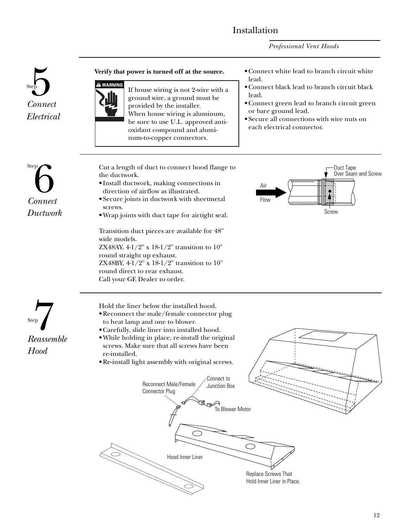*Professional Vent Hoods*

# **Connect** *Electrical*



#### **Verify that power is turned off at the source.**

If house wiring is not 2-wire with a ground wire, a ground must be provided by the installer. When house wiring is aluminum, be sure to use U.L. approved antioxidant compound and aluminum-to-copper connectors.

#### • Connect white lead to branch circuit white lead.

- Connect black lead to branch circuit black lead.
- Connect green lead to branch circuit green or bare ground lead.
- Secure all connections with wire nuts on each electrical connector.

## **Step**<br>Connect *Ductwork*

**Reassemble** 

*Hood*

Cut a length of duct to connect hood flange to the ductwork.

- Install ductwork, making connections in direction of airflow as illustrated.
- Secure joints in ductwork with sheetmetal screws.
- Wrap joints with duct tape for airtight seal.

Transition duct pieces are available for 48" wide models. ZX48AY, 4-1/2" x 18-1/2" transition to 10" round straight up exhaust.

ZX48BY, 4-1/2" x 18-1/2" transition to 10" round direct to rear exhaust. Call your GE Dealer to order.



Hold the liner below the installed hood.

- Reconnect the male/female connector plug to heat lamp and one to blower.
- Carefully, slide liner into installed hood.
- While holding in place, re-install the original screws. Make sure that all screws have been re-installed.
- Re-install light assembly with original screws.

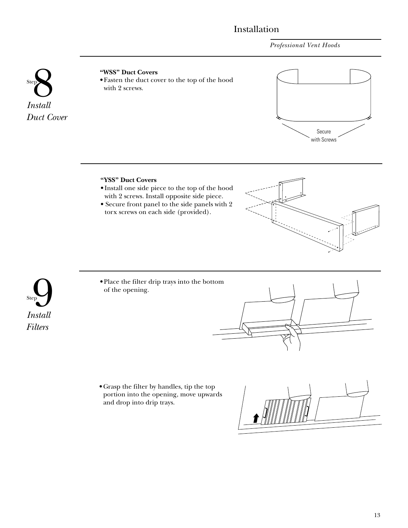*Professional Vent Hoods*



## **PD**<br> **8 • Fasten the duct covers**<br> **8 • Fasten the duct covers**<br> **8 • Fasten the duct covers**<br> **8 • Fasten the duct covers** • Fasten the duct cover to the top of the hood with 2 screws.



## **"YSS" Duct Covers**

• Install one side piece to the top of the hood with 2 screws. Install opposite side piece. • Secure front panel to the side panels with 2

torx screws on each side (provided).



• Place the filter drip trays into the bottom of the opening.



• Grasp the filter by handles, tip the top portion into the opening, move upwards and drop into drip trays.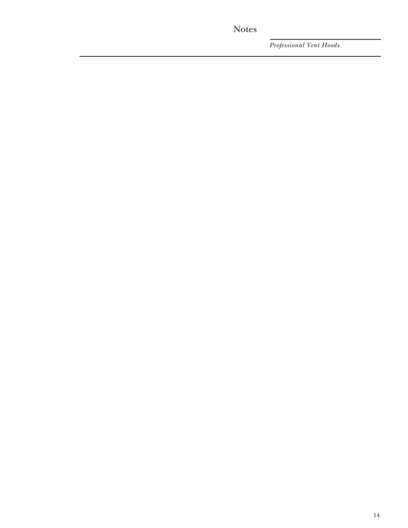## Notes

*Professional Vent Hoods*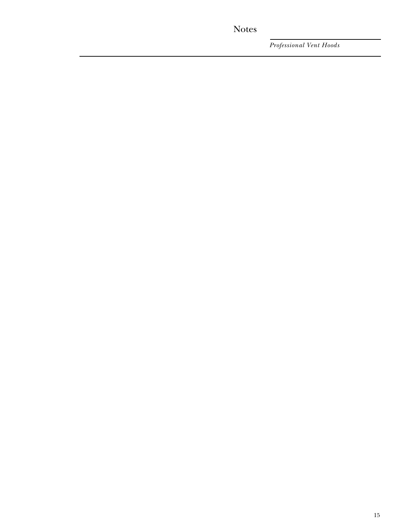## Notes

*Professional Vent Hoods*